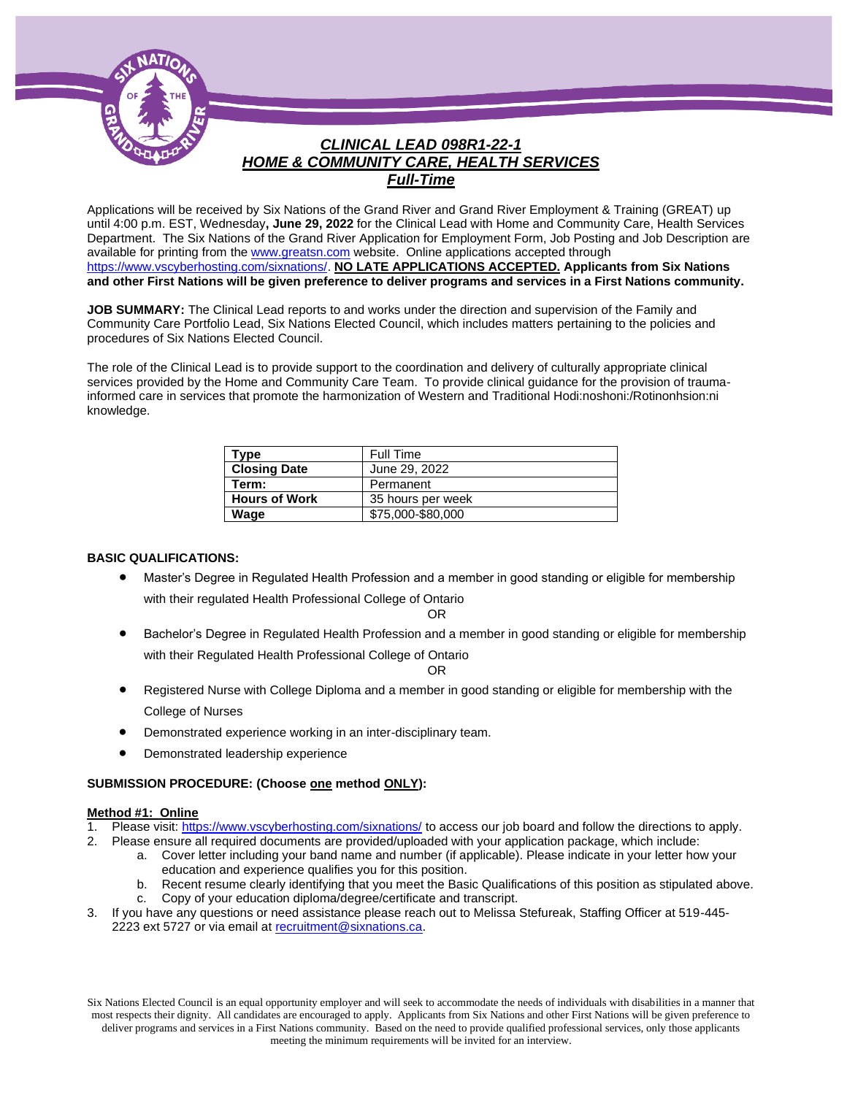

## *CLINICAL LEAD 098R1-22-1 HOME & COMMUNITY CARE, HEALTH SERVICES Full-Time*

Applications will be received by Six Nations of the Grand River and Grand River Employment & Training (GREAT) up until 4:00 p.m. EST, Wednesday**, June 29, 2022** for the Clinical Lead with Home and Community Care, Health Services Department. The Six Nations of the Grand River Application for Employment Form, Job Posting and Job Description are available for printing from th[e www.greatsn.com](http://www.greatsn.com/) website. Online applications accepted through [https://www.vscyberhosting.com/sixnations/.](https://www.vscyberhosting.com/sixnations/) **NO LATE APPLICATIONS ACCEPTED. Applicants from Six Nations and other First Nations will be given preference to deliver programs and services in a First Nations community.**

**JOB SUMMARY:** The Clinical Lead reports to and works under the direction and supervision of the Family and Community Care Portfolio Lead, Six Nations Elected Council, which includes matters pertaining to the policies and procedures of Six Nations Elected Council.

The role of the Clinical Lead is to provide support to the coordination and delivery of culturally appropriate clinical services provided by the Home and Community Care Team. To provide clinical guidance for the provision of traumainformed care in services that promote the harmonization of Western and Traditional Hodi:noshoni:/Rotinonhsion:ni knowledge.

| Type                 | Full Time         |
|----------------------|-------------------|
| <b>Closing Date</b>  | June 29, 2022     |
| Term:                | Permanent         |
| <b>Hours of Work</b> | 35 hours per week |
| Wage                 | \$75,000-\$80,000 |

#### **BASIC QUALIFICATIONS:**

• Master's Degree in Regulated Health Profession and a member in good standing or eligible for membership with their regulated Health Professional College of Ontario

OR

• Bachelor's Degree in Regulated Health Profession and a member in good standing or eligible for membership with their Regulated Health Professional College of Ontario

OR

- Registered Nurse with College Diploma and a member in good standing or eligible for membership with the College of Nurses
- Demonstrated experience working in an inter-disciplinary team.
- Demonstrated leadership experience

#### **SUBMISSION PROCEDURE: (Choose one method ONLY):**

#### **Method #1: Online**

- 1. Please visit[: https://www.vscyberhosting.com/sixnations/](https://www.vscyberhosting.com/sixnations/) to access our job board and follow the directions to apply.
- 2. Please ensure all required documents are provided/uploaded with your application package, which include:
	- a. Cover letter including your band name and number (if applicable). Please indicate in your letter how your education and experience qualifies you for this position.
	- b. Recent resume clearly identifying that you meet the Basic Qualifications of this position as stipulated above.
	- c. Copy of your education diploma/degree/certificate and transcript.
- 3. If you have any questions or need assistance please reach out to Melissa Stefureak, Staffing Officer at 519-445- 2223 ext 5727 or via email at [recruitment@sixnations.ca.](mailto:recruitment@sixnations.ca)

Six Nations Elected Council is an equal opportunity employer and will seek to accommodate the needs of individuals with disabilities in a manner that most respects their dignity. All candidates are encouraged to apply. Applicants from Six Nations and other First Nations will be given preference to deliver programs and services in a First Nations community. Based on the need to provide qualified professional services, only those applicants meeting the minimum requirements will be invited for an interview.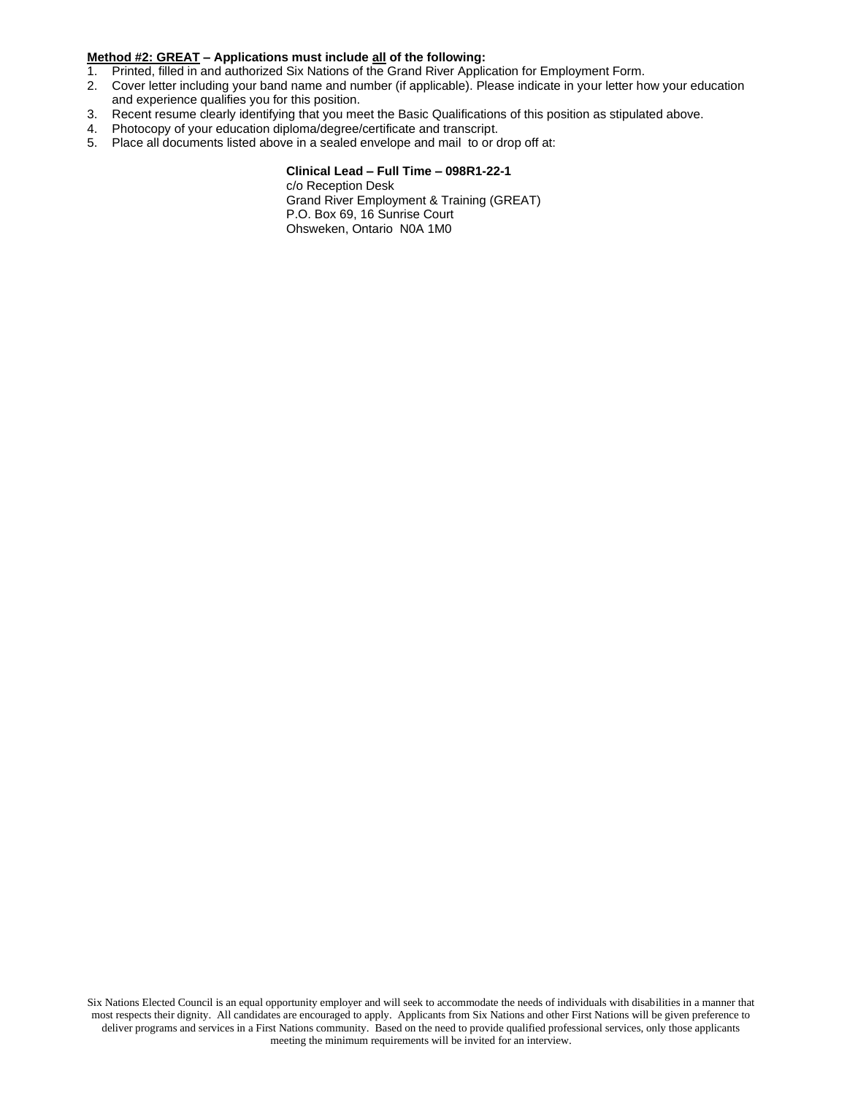#### **Method #2: GREAT – Applications must include all of the following:**

- 1. Printed, filled in and authorized Six Nations of the Grand River Application for Employment Form.
- 2. Cover letter including your band name and number (if applicable). Please indicate in your letter how your education and experience qualifies you for this position.
- 3. Recent resume clearly identifying that you meet the Basic Qualifications of this position as stipulated above.
- 4. Photocopy of your education diploma/degree/certificate and transcript.
- 5. Place all documents listed above in a sealed envelope and mail to or drop off at:

#### **Clinical Lead – Full Time – 098R1-22-1**

c/o Reception Desk Grand River Employment & Training (GREAT) P.O. Box 69, 16 Sunrise Court Ohsweken, Ontario N0A 1M0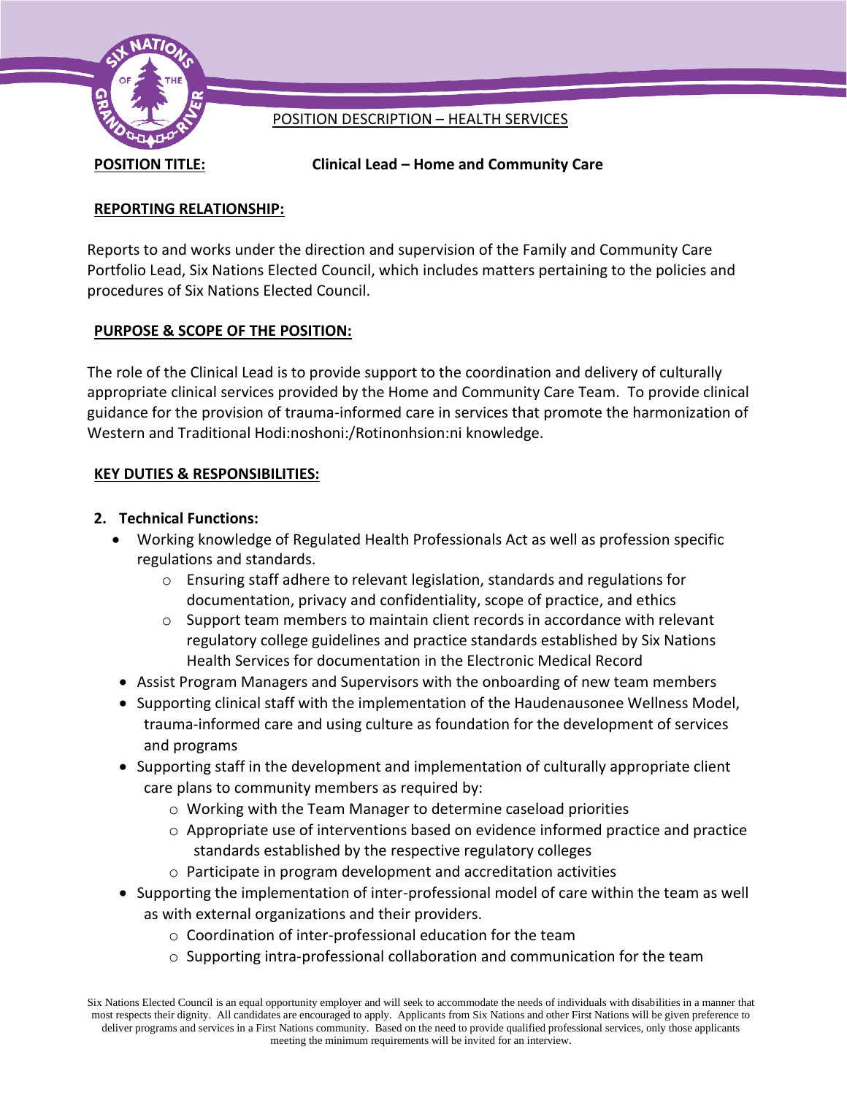

# POSITION DESCRIPTION – HEALTH SERVICES

**POSITION TITLE: Clinical Lead – Home and Community Care**

## **REPORTING RELATIONSHIP:**

Reports to and works under the direction and supervision of the Family and Community Care Portfolio Lead, Six Nations Elected Council, which includes matters pertaining to the policies and procedures of Six Nations Elected Council.

# **PURPOSE & SCOPE OF THE POSITION:**

The role of the Clinical Lead is to provide support to the coordination and delivery of culturally appropriate clinical services provided by the Home and Community Care Team. To provide clinical guidance for the provision of trauma-informed care in services that promote the harmonization of Western and Traditional Hodi:noshoni:/Rotinonhsion:ni knowledge.

## **KEY DUTIES & RESPONSIBILITIES:**

## **2. Technical Functions:**

- Working knowledge of Regulated Health Professionals Act as well as profession specific regulations and standards.
	- $\circ$  Ensuring staff adhere to relevant legislation, standards and regulations for documentation, privacy and confidentiality, scope of practice, and ethics
	- $\circ$  Support team members to maintain client records in accordance with relevant regulatory college guidelines and practice standards established by Six Nations Health Services for documentation in the Electronic Medical Record
- Assist Program Managers and Supervisors with the onboarding of new team members
- Supporting clinical staff with the implementation of the Haudenausonee Wellness Model, trauma-informed care and using culture as foundation for the development of services and programs
- Supporting staff in the development and implementation of culturally appropriate client care plans to community members as required by:
	- o Working with the Team Manager to determine caseload priorities
	- $\circ$  Appropriate use of interventions based on evidence informed practice and practice standards established by the respective regulatory colleges
	- o Participate in program development and accreditation activities
- Supporting the implementation of inter-professional model of care within the team as well as with external organizations and their providers.
	- o Coordination of inter-professional education for the team
	- $\circ$  Supporting intra-professional collaboration and communication for the team

Six Nations Elected Council is an equal opportunity employer and will seek to accommodate the needs of individuals with disabilities in a manner that most respects their dignity. All candidates are encouraged to apply. Applicants from Six Nations and other First Nations will be given preference to deliver programs and services in a First Nations community. Based on the need to provide qualified professional services, only those applicants meeting the minimum requirements will be invited for an interview.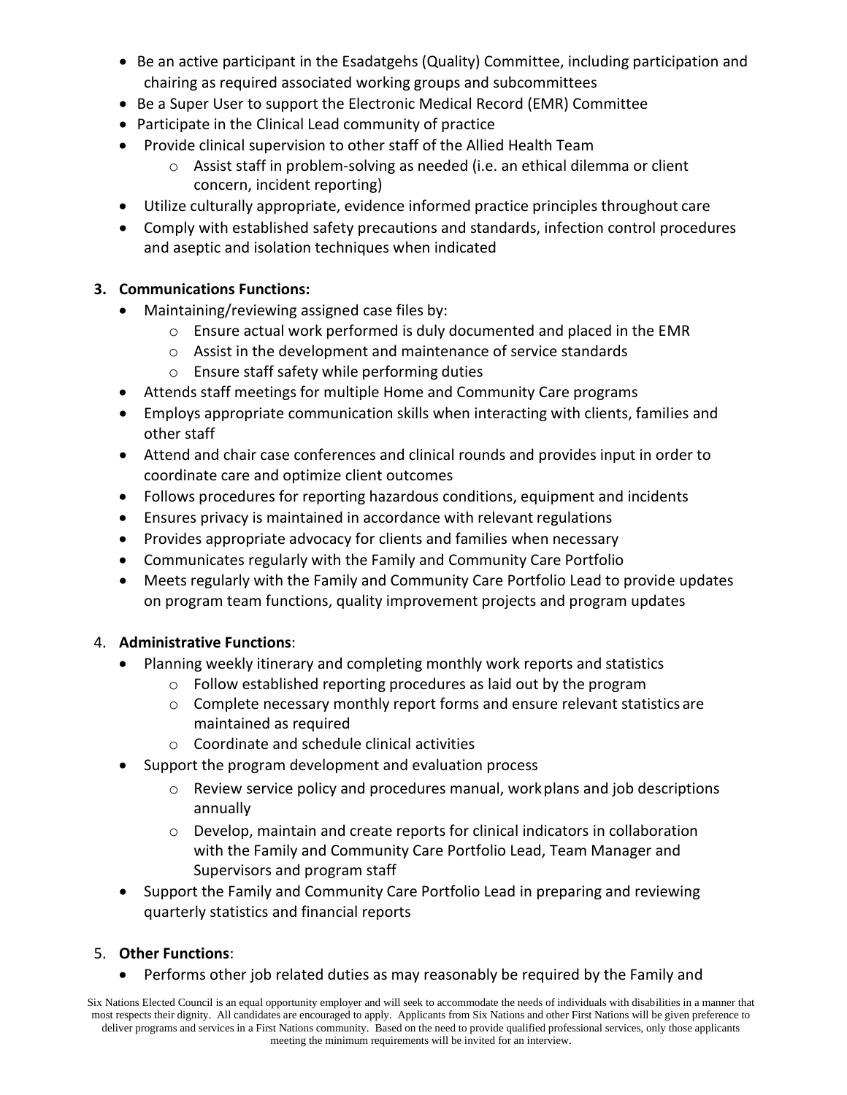- Be an active participant in the Esadatgehs (Quality) Committee, including participation and chairing as required associated working groups and subcommittees
- Be a Super User to support the Electronic Medical Record (EMR) Committee
- Participate in the Clinical Lead community of practice
- Provide clinical supervision to other staff of the Allied Health Team
	- o Assist staff in problem-solving as needed (i.e. an ethical dilemma or client concern, incident reporting)
- Utilize culturally appropriate, evidence informed practice principles throughout care
- Comply with established safety precautions and standards, infection control procedures and aseptic and isolation techniques when indicated

# **3. Communications Functions:**

- Maintaining/reviewing assigned case files by:
	- $\circ$  Ensure actual work performed is duly documented and placed in the EMR
	- o Assist in the development and maintenance of service standards
	- o Ensure staff safety while performing duties
- Attends staff meetings for multiple Home and Community Care programs
- Employs appropriate communication skills when interacting with clients, families and other staff
- Attend and chair case conferences and clinical rounds and provides input in order to coordinate care and optimize client outcomes
- Follows procedures for reporting hazardous conditions, equipment and incidents
- Ensures privacy is maintained in accordance with relevant regulations
- Provides appropriate advocacy for clients and families when necessary
- Communicates regularly with the Family and Community Care Portfolio
- Meets regularly with the Family and Community Care Portfolio Lead to provide updates on program team functions, quality improvement projects and program updates

## 4. **Administrative Functions**:

- Planning weekly itinerary and completing monthly work reports and statistics
	- o Follow established reporting procedures as laid out by the program
	- $\circ$  Complete necessary monthly report forms and ensure relevant statistics are maintained as required
	- o Coordinate and schedule clinical activities
- Support the program development and evaluation process
	- $\circ$  Review service policy and procedures manual, work plans and job descriptions annually
	- o Develop, maintain and create reports for clinical indicators in collaboration with the Family and Community Care Portfolio Lead, Team Manager and Supervisors and program staff
- Support the Family and Community Care Portfolio Lead in preparing and reviewing quarterly statistics and financial reports

# 5. **Other Functions**:

• Performs other job related duties as may reasonably be required by the Family and

Six Nations Elected Council is an equal opportunity employer and will seek to accommodate the needs of individuals with disabilities in a manner that most respects their dignity. All candidates are encouraged to apply. Applicants from Six Nations and other First Nations will be given preference to deliver programs and services in a First Nations community. Based on the need to provide qualified professional services, only those applicants meeting the minimum requirements will be invited for an interview.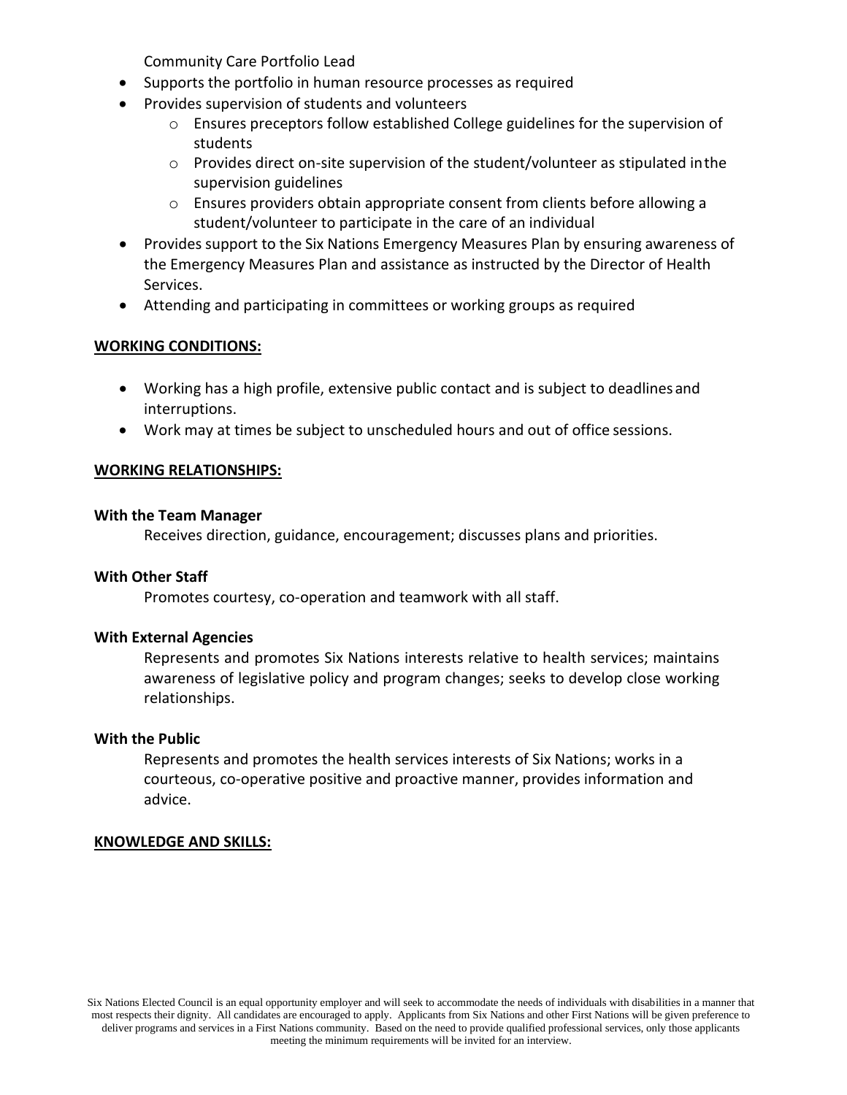Community Care Portfolio Lead

- Supports the portfolio in human resource processes as required
- Provides supervision of students and volunteers
	- $\circ$  Ensures preceptors follow established College guidelines for the supervision of students
	- $\circ$  Provides direct on-site supervision of the student/volunteer as stipulated in the supervision guidelines
	- o Ensures providers obtain appropriate consent from clients before allowing a student/volunteer to participate in the care of an individual
- Provides support to the Six Nations Emergency Measures Plan by ensuring awareness of the Emergency Measures Plan and assistance as instructed by the Director of Health Services.
- Attending and participating in committees or working groups as required

### **WORKING CONDITIONS:**

- Working has a high profile, extensive public contact and is subject to deadlinesand interruptions.
- Work may at times be subject to unscheduled hours and out of office sessions.

### **WORKING RELATIONSHIPS:**

### **With the Team Manager**

Receives direction, guidance, encouragement; discusses plans and priorities.

### **With Other Staff**

Promotes courtesy, co-operation and teamwork with all staff.

### **With External Agencies**

Represents and promotes Six Nations interests relative to health services; maintains awareness of legislative policy and program changes; seeks to develop close working relationships.

#### **With the Public**

Represents and promotes the health services interests of Six Nations; works in a courteous, co-operative positive and proactive manner, provides information and advice.

#### **KNOWLEDGE AND SKILLS:**